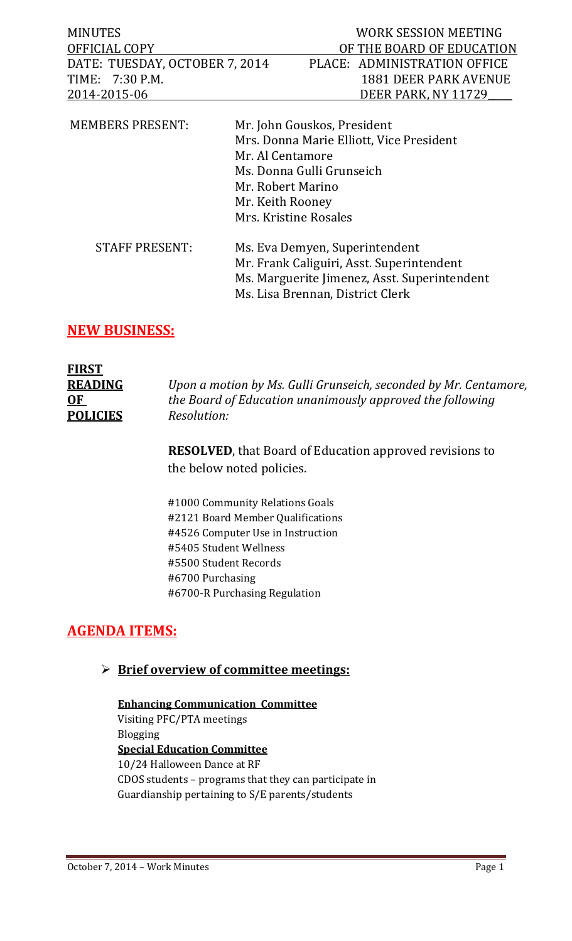| <b>MINUTES</b>                 |                                                           |                                                                                   | <b>WORK SESSION MEETING</b>              |
|--------------------------------|-----------------------------------------------------------|-----------------------------------------------------------------------------------|------------------------------------------|
| OFFICIAL COPY                  |                                                           |                                                                                   | OF THE BOARD OF EDUCATION                |
| DATE: TUESDAY, OCTOBER 7, 2014 |                                                           |                                                                                   | PLACE: ADMINISTRATION OFFICE             |
| TIME: 7:30 P.M.                |                                                           |                                                                                   | <b>1881 DEER PARK AVENUE</b>             |
| 2014-2015-06                   |                                                           |                                                                                   | DEER PARK, NY 11729                      |
| <b>MEMBERS PRESENT:</b>        | Mr. Al Centamore<br>Mr. Robert Marino<br>Mr. Keith Rooney | Mr. John Gouskos, President<br>Ms. Donna Gulli Grunseich<br>Mrs. Kristine Rosales | Mrs. Donna Marie Elliott, Vice President |
|                                |                                                           |                                                                                   |                                          |

| <b>STAFF PRESENT:</b> | Ms. Eva Demyen, Superintendent               |  |
|-----------------------|----------------------------------------------|--|
|                       | Mr. Frank Caliguiri, Asst. Superintendent    |  |
|                       | Ms. Marguerite Jimenez, Asst. Superintendent |  |
|                       | Ms. Lisa Brennan, District Clerk             |  |
|                       |                                              |  |

## **NEW BUSINESS:**

| <b>FIRST</b>    |                                                                  |
|-----------------|------------------------------------------------------------------|
| <b>READING</b>  | Upon a motion by Ms. Gulli Grunseich, seconded by Mr. Centamore, |
| 0 <sub>F</sub>  | the Board of Education unanimously approved the following        |
| <b>POLICIES</b> | Resolution:                                                      |

**RESOLVED**, that Board of Education approved revisions to the below noted policies.

#1000 Community Relations Goals #2121 Board Member Qualifications #4526 Computer Use in Instruction #5405 Student Wellness #5500 Student Records #6700 Purchasing #6700-R Purchasing Regulation

## **AGENDA ITEMS:**

## **Brief overview of committee meetings:**

## **Enhancing Communication Committee** Visiting PFC/PTA meetings Blogging **Special Education Committee** 10/24 Halloween Dance at RF CDOS students – programs that they can participate in Guardianship pertaining to S/E parents/students